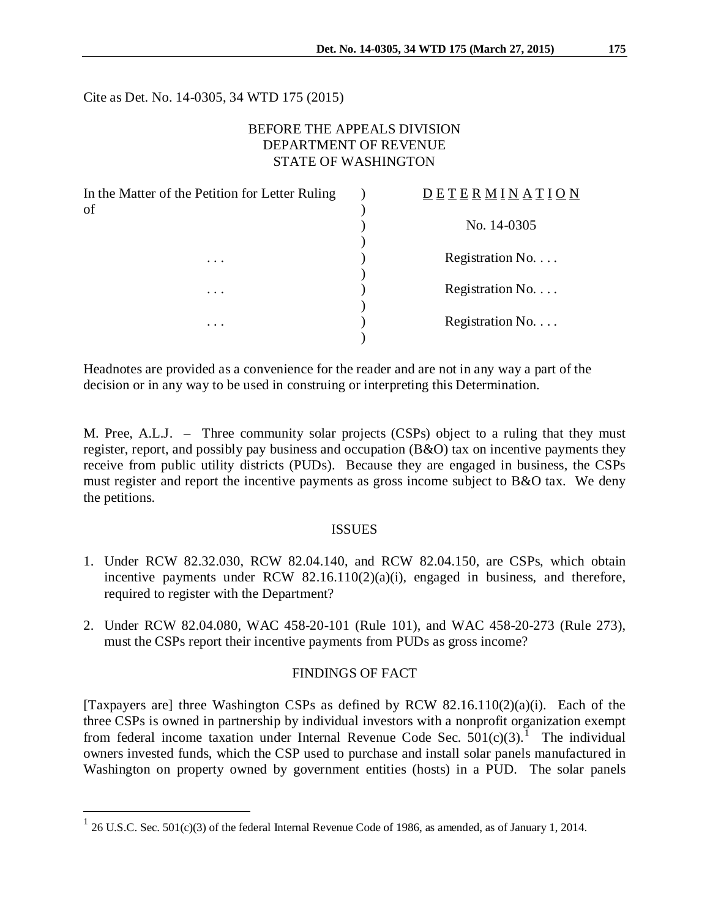Cite as Det. No. 14-0305, 34 WTD 175 (2015)

# BEFORE THE APPEALS DIVISION DEPARTMENT OF REVENUE STATE OF WASHINGTON

| In the Matter of the Petition for Letter Ruling | <b>DETERMINATION</b>     |
|-------------------------------------------------|--------------------------|
| of                                              |                          |
|                                                 | No. 14-0305              |
|                                                 |                          |
| $\cdots$                                        | Registration No. $\dots$ |
|                                                 |                          |
| $\cdots$<br>$\cdots$                            | Registration No.         |
|                                                 | Registration No.         |
|                                                 |                          |
|                                                 |                          |

Headnotes are provided as a convenience for the reader and are not in any way a part of the decision or in any way to be used in construing or interpreting this Determination.

M. Pree, A.L.J. – Three community solar projects (CSPs) object to a ruling that they must register, report, and possibly pay business and occupation (B&O) tax on incentive payments they receive from public utility districts (PUDs). Because they are engaged in business, the CSPs must register and report the incentive payments as gross income subject to B&O tax. We deny the petitions.

### ISSUES

- 1. Under RCW 82.32.030, RCW 82.04.140, and RCW 82.04.150, are CSPs, which obtain incentive payments under RCW  $82.16.110(2)(a)(i)$ , engaged in business, and therefore, required to register with the Department?
- 2. Under RCW 82.04.080, WAC 458-20-101 (Rule 101), and WAC 458-20-273 (Rule 273), must the CSPs report their incentive payments from PUDs as gross income?

## FINDINGS OF FACT

[Taxpayers are] three Washington CSPs as defined by RCW 82.16.110(2)(a)(i). Each of the three CSPs is owned in partnership by individual investors with a nonprofit organization exempt from federal income taxation under Internal Revenue Code Sec.  $501(c)(3)$  $501(c)(3)$  $501(c)(3)$ <sup>1</sup>. The individual owners invested funds, which the CSP used to purchase and install solar panels manufactured in Washington on property owned by government entities (hosts) in a PUD. The solar panels

 $\overline{a}$ 

<span id="page-0-0"></span> $126$  U.S.C. Sec. 501(c)(3) of the federal Internal Revenue Code of 1986, as amended, as of January 1, 2014.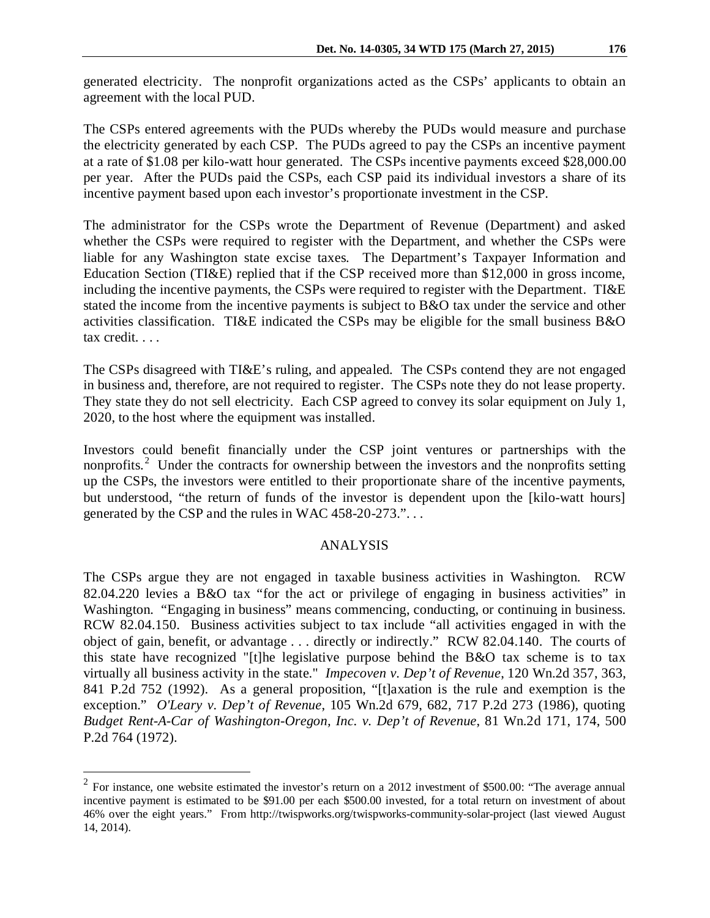generated electricity. The nonprofit organizations acted as the CSPs' applicants to obtain an agreement with the local PUD.

The CSPs entered agreements with the PUDs whereby the PUDs would measure and purchase the electricity generated by each CSP. The PUDs agreed to pay the CSPs an incentive payment at a rate of \$1.08 per kilo-watt hour generated. The CSPs incentive payments exceed \$28,000.00 per year. After the PUDs paid the CSPs, each CSP paid its individual investors a share of its incentive payment based upon each investor's proportionate investment in the CSP.

The administrator for the CSPs wrote the Department of Revenue (Department) and asked whether the CSPs were required to register with the Department, and whether the CSPs were liable for any Washington state excise taxes. The Department's Taxpayer Information and Education Section (TI&E) replied that if the CSP received more than \$12,000 in gross income, including the incentive payments, the CSPs were required to register with the Department. TI&E stated the income from the incentive payments is subject to B&O tax under the service and other activities classification. TI&E indicated the CSPs may be eligible for the small business B&O tax credit. . . .

The CSPs disagreed with TI&E's ruling, and appealed. The CSPs contend they are not engaged in business and, therefore, are not required to register. The CSPs note they do not lease property. They state they do not sell electricity. Each CSP agreed to convey its solar equipment on July 1, 2020, to the host where the equipment was installed.

Investors could benefit financially under the CSP joint ventures or partnerships with the nonprofits.<sup>[2](#page-1-0)</sup> Under the contracts for ownership between the investors and the nonprofits setting up the CSPs, the investors were entitled to their proportionate share of the incentive payments, but understood, "the return of funds of the investor is dependent upon the [kilo-watt hours] generated by the CSP and the rules in WAC 458-20-273.". . .

### ANALYSIS

The CSPs argue they are not engaged in taxable business activities in Washington. RCW 82.04.220 levies a B&O tax "for the act or privilege of engaging in business activities" in Washington. "Engaging in business" means commencing, conducting, or continuing in business. RCW 82.04.150. Business activities subject to tax include "all activities engaged in with the object of gain, benefit, or advantage . . . directly or indirectly." RCW 82.04.140. The courts of this state have recognized "[t]he legislative purpose behind the B&O tax scheme is to tax virtually all business activity in the state." *Impecoven v. Dep't of Revenue*, 120 Wn.2d 357, 363, 841 P.2d 752 (1992). As a general proposition, "[t]axation is the rule and exemption is the exception." *O'Leary v. Dep't of Revenue*, 105 Wn.2d 679, 682, 717 P.2d 273 (1986), quoting *Budget Rent-A-Car of Washington-Oregon, Inc. v. Dep't of Revenue*, 81 Wn.2d 171, 174, 500 P.2d 764 (1972).

 $\overline{a}$ 

<span id="page-1-0"></span> $2$  For instance, one website estimated the investor's return on a 2012 investment of \$500.00: "The average annual incentive payment is estimated to be \$91.00 per each \$500.00 invested, for a total return on investment of about 46% over the eight years." From http://twispworks.org/twispworks-community-solar-project (last viewed August 14, 2014).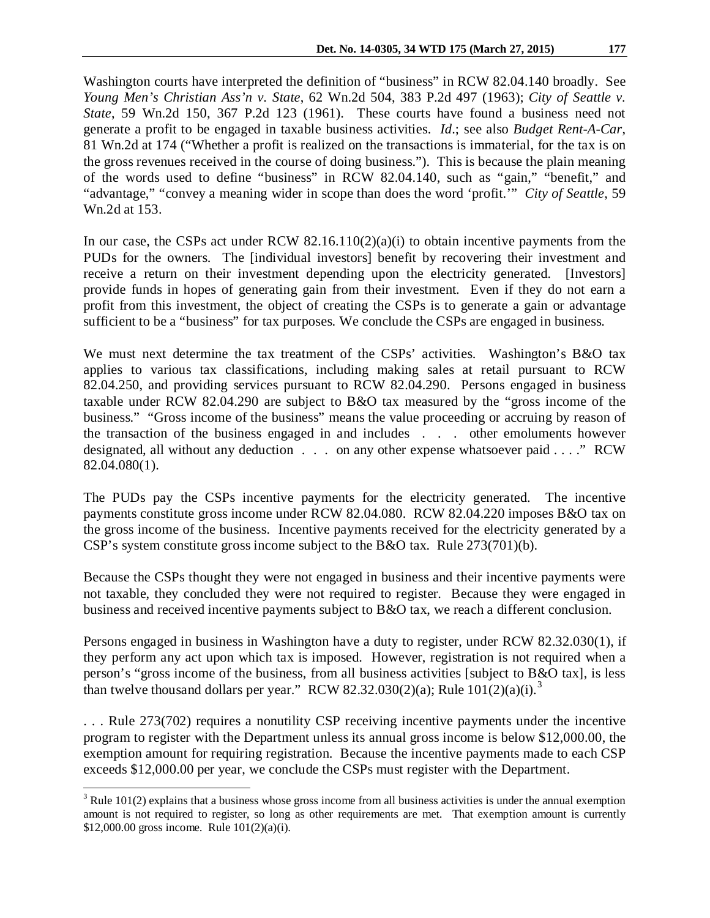Washington courts have interpreted the definition of "business" in RCW 82.04.140 broadly. See *Young Men's Christian Ass'n v. State*, 62 Wn.2d 504, 383 P.2d 497 (1963); *City of Seattle v. State*, 59 Wn.2d 150, 367 P.2d 123 (1961). These courts have found a business need not generate a profit to be engaged in taxable business activities. *Id*.; see also *Budget Rent-A-Car*, 81 Wn.2d at 174 ("Whether a profit is realized on the transactions is immaterial, for the tax is on the gross revenues received in the course of doing business."). This is because the plain meaning of the words used to define "business" in RCW 82.04.140, such as "gain," "benefit," and "advantage," "convey a meaning wider in scope than does the word 'profit.'" *City of Seattle*, 59 Wn.2d at 153.

In our case, the CSPs act under RCW  $82.16.110(2)(a)(i)$  to obtain incentive payments from the PUDs for the owners. The [individual investors] benefit by recovering their investment and receive a return on their investment depending upon the electricity generated. [Investors] provide funds in hopes of generating gain from their investment. Even if they do not earn a profit from this investment, the object of creating the CSPs is to generate a gain or advantage sufficient to be a "business" for tax purposes. We conclude the CSPs are engaged in business.

We must next determine the tax treatment of the CSPs' activities. Washington's B&O tax applies to various tax classifications, including making sales at retail pursuant to RCW 82.04.250, and providing services pursuant to RCW 82.04.290. Persons engaged in business taxable under RCW 82.04.290 are subject to B&O tax measured by the "gross income of the business." "Gross income of the business" means the value proceeding or accruing by reason of the transaction of the business engaged in and includes . . . other emoluments however designated, all without any deduction . . . on any other expense whatsoever paid . . . . " RCW 82.04.080(1).

The PUDs pay the CSPs incentive payments for the electricity generated. The incentive payments constitute gross income under RCW 82.04.080. RCW 82.04.220 imposes B&O tax on the gross income of the business. Incentive payments received for the electricity generated by a CSP's system constitute gross income subject to the B&O tax. Rule 273(701)(b).

Because the CSPs thought they were not engaged in business and their incentive payments were not taxable, they concluded they were not required to register. Because they were engaged in business and received incentive payments subject to B&O tax, we reach a different conclusion.

Persons engaged in business in Washington have a duty to register, under RCW 82.32.030(1), if they perform any act upon which tax is imposed. However, registration is not required when a person's "gross income of the business, from all business activities [subject to B&O tax], is less than twelve thousand dollars per year." RCW 82.[3](#page-2-0)2.030(2)(a); Rule  $101(2)(a)(i).$ <sup>3</sup>

. . . Rule 273(702) requires a nonutility CSP receiving incentive payments under the incentive program to register with the Department unless its annual gross income is below \$12,000.00, the exemption amount for requiring registration. Because the incentive payments made to each CSP exceeds \$12,000.00 per year, we conclude the CSPs must register with the Department.

<span id="page-2-0"></span> $3$  Rule 101(2) explains that a business whose gross income from all business activities is under the annual exemption amount is not required to register, so long as other requirements are met. That exemption amount is currently \$12,000.00 gross income. Rule 101(2)(a)(i).  $\overline{a}$